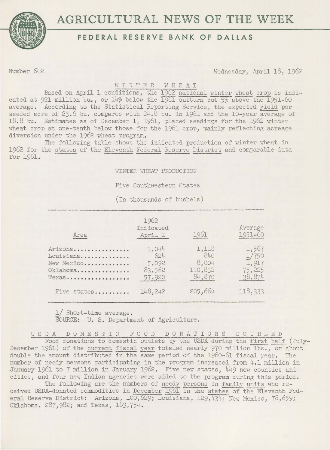



## **FEDERAL RESERVE BANK OF DALLAS**

Number 642 Wednesday, April 18, 1962

## WINTER WHEAT

Based on April 1 conditions, the 1962 national winter wheat crop is indicated at 921 million bu., or  $14\%$  below the  $\overline{1961}$  outturn but  $5\%$  above the  $1951-60$ average. According to the Statistical Reporting Service, the expected yield per seeded acre of 23.6 bu. compares with  $24.8$  bu. in 1961 and the 10-year average of 18.8 bu. Estimates as of December 1, 1961, placed. seedings for the 1962 winter wheat crop at one-tenth below those for the 1961 crop, mainly reflecting acreage diversion under the 1962 wheat program.

The following table shows the indicated production of winter wheat in 1962 for the states of the Eleventh Federal Reserve District and comparable data for 1961.

WINTER WHEAT PRODUCTION

Five Southwestern States

(In thousands of bushels)

| Area                                                    | 1962<br>Indicated<br>April 1              | 1961                                       | Average<br>1951-60                          |
|---------------------------------------------------------|-------------------------------------------|--------------------------------------------|---------------------------------------------|
| Arizona<br>Louisiana<br>New Mexico<br>Oklahoma<br>Texas | 1,044<br>624<br>5,092<br>83,562<br>57,920 | 1,118<br>840<br>8,004<br>110,832<br>84,870 | 1,567<br>1/750<br>1,917<br>75,225<br>38,874 |
| Five states                                             | 148,242                                   | 205,664                                    | 118,333                                     |

1/ Short-time average. SOURCE: U. S. Department of Agriculture.

U S D A D 0 M E S T I C F 0 0 D D 0 N A T I 0 N S DOUBLED Food donations to domestic outlets by the USDA during the first half (July-December 1961) of the current fiscal year totaled nearly 970 million lbs., or about double the amount distributed in the same period of the 1960-61 fiscal year. The number of needy persons participating in the program increased. from 4.1 million in January 1961 to 7 million in January 1962. Five new states, 449 new counties and cities, and four new Indian agencies were added to the program during this period.

The following are the numbers of needy persons in family units who received USDA-donated commodities in December 1961 in the states of the Eleventh Federal Reserve District: Arizona, 100,629; Louisiana, 129,434; New Mexico, 78,659; Oklahoma, 287,982; and. Texas, 183,754.